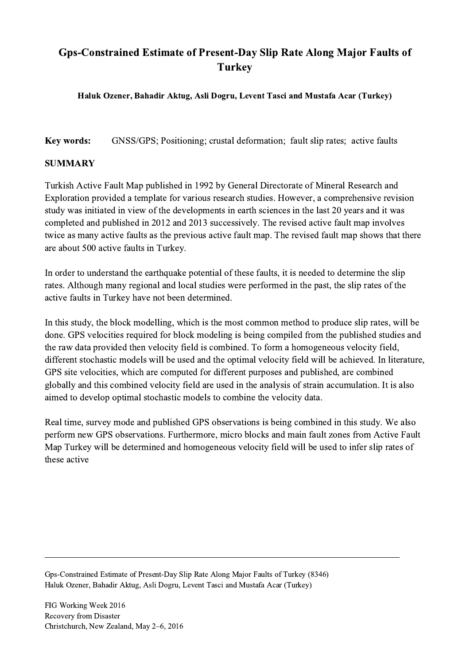## Gps-Constrained Estimate of Present-Day Slip Rate Along Major Faults of **Turkey**

## Haluk Ozener, Bahadir Aktug, Asli Dogru, Levent Tasci and Mustafa Acar (Turkey)

Key words: GNSS/GPS; Positioning; crustal deformation; fault slip rates; active faults

## SUMMARY

Turkish Active Fault Map published in 1992 by General Directorate of Mineral Research and Exploration provided a template for various research studies. However, a comprehensive revision study was initiated in view of the developments in earth sciences in the last 20 years and it was completed and published in 2012 and 2013 successively. The revised active fault map involves twice as many active faults as the previous active fault map. The revised fault map shows that there are about 500 active faults in Turkey.

In order to understand the earthquake potential of these faults, it is needed to determine the slip rates. Although many regional and local studies were performed in the past, the slip rates of the active faults in Turkey have not been determined.

In this study, the block modelling, which is the most common method to produce slip rates, will be done. GPS velocities required for block modeling is being compiled from the published studies and the raw data provided then velocity field is combined. To form a homogeneous velocity field, different stochastic models will be used and the optimal velocity field will be achieved. In literature, GPS site velocities, which are computed for different purposes and published, are combined globally and this combined velocity field are used in the analysis of strain accumulation. It is also aimed to develop optimal stochastic models to combine the velocity data.

Real time, survey mode and published GPS observations is being combined in this study. We also perform new GPS observations. Furthermore, micro blocks and main fault zones from Active Fault Map Turkey will be determined and homogeneous velocity field will be used to infer slip rates of these active

 $\mathcal{L}_\mathcal{L} = \{ \mathcal{L}_\mathcal{L} = \{ \mathcal{L}_\mathcal{L} = \{ \mathcal{L}_\mathcal{L} = \{ \mathcal{L}_\mathcal{L} = \{ \mathcal{L}_\mathcal{L} = \{ \mathcal{L}_\mathcal{L} = \{ \mathcal{L}_\mathcal{L} = \{ \mathcal{L}_\mathcal{L} = \{ \mathcal{L}_\mathcal{L} = \{ \mathcal{L}_\mathcal{L} = \{ \mathcal{L}_\mathcal{L} = \{ \mathcal{L}_\mathcal{L} = \{ \mathcal{L}_\mathcal{L} = \{ \mathcal{L}_\mathcal{$ 

Gps-Constrained Estimate of Present-Day Slip Rate Along Major Faults of Turkey (8346) Haluk Ozener, Bahadir Aktug, Asli Dogru, Levent Tasci and Mustafa Acar (Turkey)

FIG Working Week 2016 Recovery from Disaster Christchurch, New Zealand, May 2–6, 2016